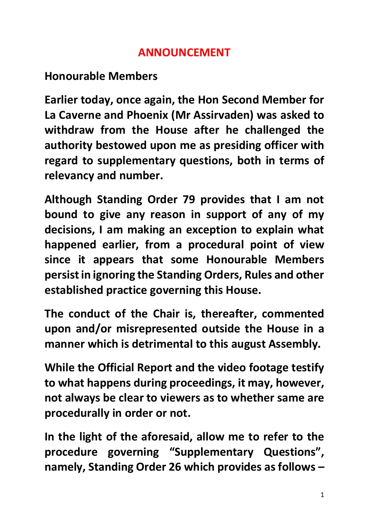## **ANNOUNCEMENT**

## **Honourable Members**

**Earlier today, once again, the Hon Second Member for La Caverne and Phoenix (Mr Assirvaden) was asked to withdraw from the House after he challenged the authority bestowed upon me as presiding officer with regard to supplementary questions, both in terms of relevancy and number.**

**Although Standing Order 79 provides that I am not bound to give any reason in support of any of my decisions, I am making an exception to explain what happened earlier, from a procedural point of view since it appears that some Honourable Members persist in ignoring the Standing Orders, Rules and other established practice governing this House.**

**The conduct of the Chair is, thereafter, commented upon and/or misrepresented outside the House in a manner which is detrimental to this august Assembly.**

**While the Official Report and the video footage testify to what happens during proceedings, it may, however, not always be clear to viewers as to whether same are procedurally in order or not.**

**In the light of the aforesaid, allow me to refer to the procedure governing "Supplementary Questions", namely, Standing Order 26 which provides as follows –**